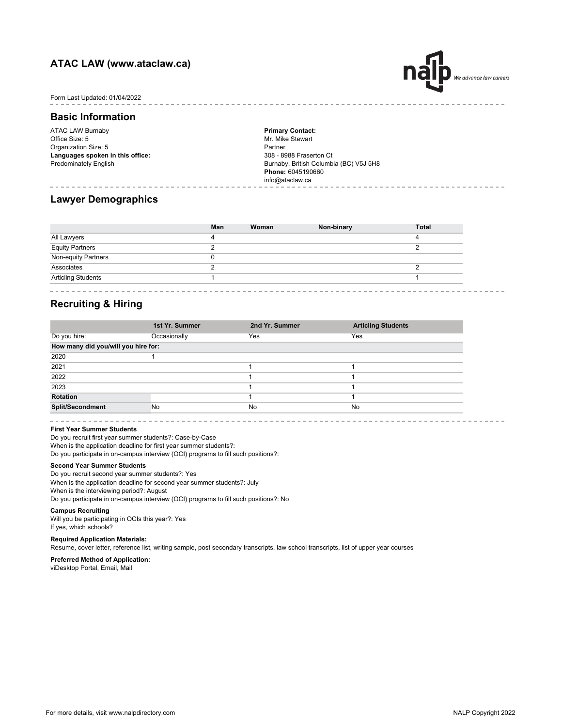## **ATAC LAW (www.ataclaw.ca)**



 $- - - - - - -$ 

### Form Last Updated: 01/04/2022

### **Basic Information**

ATAC LAW Burnaby Office Size: 5 Organization Size: 5 **Languages spoken in this office:** Predominately English

**Primary Contact:** Mr. Mike Stewart Partner 308 - 8988 Fraserton Ct Burnaby, British Columbia (BC) V5J 5H8 **Phone:** 6045190660 info@ataclaw.ca

## **Lawyer Demographics**

|                           | Man | Woman | Non-binary | <b>Total</b> |
|---------------------------|-----|-------|------------|--------------|
| All Lawyers               |     |       |            |              |
| <b>Equity Partners</b>    |     |       |            |              |
| Non-equity Partners       |     |       |            |              |
| Associates                |     |       |            |              |
| <b>Articling Students</b> |     |       |            |              |

## **Recruiting & Hiring**

|                                     | 1st Yr. Summer | 2nd Yr. Summer | <b>Articling Students</b> |
|-------------------------------------|----------------|----------------|---------------------------|
| Do you hire:                        | Occasionally   | Yes            | Yes                       |
| How many did you/will you hire for: |                |                |                           |
| 2020                                |                |                |                           |
| 2021                                |                |                |                           |
| 2022                                |                |                |                           |
| 2023                                |                |                |                           |
| Rotation                            |                |                |                           |
| <b>Split/Secondment</b>             | <b>No</b>      | No             | No                        |

#### 

#### **First Year Summer Students**

When is the application deadline for first year summer students?: Do you participate in on-campus interview (OCI) programs to fill such positions?: Do you recruit first year summer students?: Case-by-Case

### **Second Year Summer Students**

When is the application deadline for second year summer students?: July When is the interviewing period?: August Do you participate in on-campus interview (OCI) programs to fill such positions?: No Do you recruit second year summer students?: Yes

#### **Campus Recruiting**

Will you be participating in OCIs this year?: Yes If yes, which schools?

#### **Required Application Materials:**

Resume, cover letter, reference list, writing sample, post secondary transcripts, law school transcripts, list of upper year courses

## **Preferred Method of Application:**

viDesktop Portal, Email, Mail